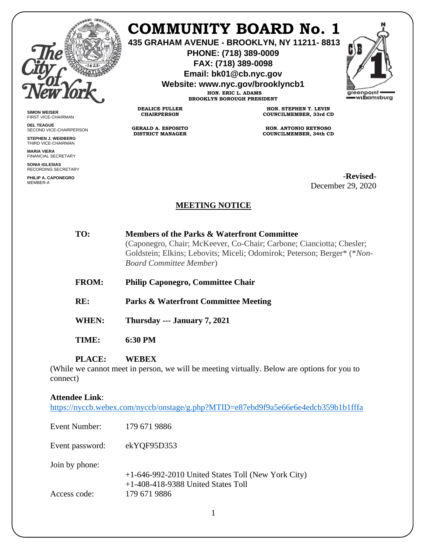

**SIMON WEISER** FIRST VICE-CHAIRMAN **DEL TEAGUE**

SECOND VICE-CHAIRPERSON **STEPHEN J. WEIDBERG** THIRD VICE-CHAIRMAN **MARIA VIERA** FINANCIAL SECRETARY **SONIA IGLESIAS** RECORDING SECRETARY **PHILIP A. CAPONEGRO** MEMBER-AT

# **COMMUNITY BOARD No. 1**

**435 GRAHAM AVENUE - BROOKLYN, NY 11211- 8813**

**PHONE: (718) 389-0009 FAX: (718) 389-0098**

**Email: bk01@cb.nyc.gov**

**Website: www.nyc.gov/brooklyncb1**

**HON. ERIC L. ADAMS BROOKLYN BOROUGH PRESIDENT**

**DEALICE FULLER CHAIRPERSON**

**GERALD A. ESPOSITO DISTRICT MANAGER**

**HON. STEPHEN T. LEVIN COUNCILMEMBER, 33rd CD**

**HON. ANTONIO REYNOSO COUNCILMEMBER, 34th CD**

> **-Revised-**December 29, 2020

# **MEETING NOTICE**

| TO:          | Members of the Parks & Waterfront Committee<br>(Caponegro, Chair; McKeever, Co-Chair; Carbone; Cianciotta; Chesler;<br>Goldstein; Elkins; Lebovits; Miceli; Odomirok; Peterson; Berger* (*Non-<br><b>Board Committee Member)</b> |
|--------------|----------------------------------------------------------------------------------------------------------------------------------------------------------------------------------------------------------------------------------|
| <b>FROM:</b> | <b>Philip Caponegro, Committee Chair</b>                                                                                                                                                                                         |
| RE:          | <b>Parks &amp; Waterfront Committee Meeting</b>                                                                                                                                                                                  |
| WHEN:        | Thursday --- January 7, 2021                                                                                                                                                                                                     |
| TIME:        | 6:30 PM                                                                                                                                                                                                                          |

#### **PLACE: WEBEX**

(While we cannot meet in person, we will be meeting virtually. Below are options for you to connect)

#### **Attendee Link**:

<https://nyccb.webex.com/nyccb/onstage/g.php?MTID=e87ebd9f9a5e66e6e4edcb359b1b1fffa>

| Event Number:                  | 179 671 9886                                                                                               |
|--------------------------------|------------------------------------------------------------------------------------------------------------|
| Event password:                | ekYQF95D353                                                                                                |
| Join by phone:<br>Access code: | +1-646-992-2010 United States Toll (New York City)<br>$+1-408-418-9388$ United States Toll<br>179 671 9886 |